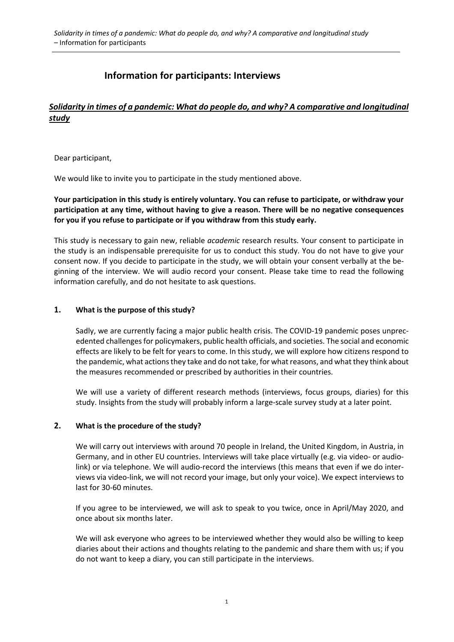# **Information for participants: Interviews**

# *Solidarity in times of a pandemic: What do people do, and why? A comparative and longitudinal study*

Dear participant,

We would like to invite you to participate in the study mentioned above.

**Your participation in this study is entirely voluntary. You can refuse to participate, or withdraw your participation at any time, without having to give a reason. There will be no negative consequences for you if you refuse to participate or if you withdraw from this study early.**

This study is necessary to gain new, reliable *academic* research results. Your consent to participate in the study is an indispensable prerequisite for us to conduct this study. You do not have to give your consent now. If you decide to participate in the study, we will obtain your consent verbally at the beginning of the interview. We will audio record your consent. Please take time to read the following information carefully, and do not hesitate to ask questions.

# **1. What is the purpose of this study?**

Sadly, we are currently facing a major public health crisis. The COVID-19 pandemic poses unprecedented challenges for policymakers, public health officials, and societies. The social and economic effects are likely to be felt for years to come. In this study, we will explore how citizens respond to the pandemic, what actions they take and do not take, for what reasons, and what they think about the measures recommended or prescribed by authorities in their countries.

We will use a variety of different research methods (interviews, focus groups, diaries) for this study. Insights from the study will probably inform a large-scale survey study at a later point.

#### **2. What is the procedure of the study?**

We will carry out interviews with around 70 people in Ireland, the United Kingdom, in Austria, in Germany, and in other EU countries. Interviews will take place virtually (e.g. via video- or audiolink) or via telephone. We will audio-record the interviews (this means that even if we do interviews via video-link, we will not record your image, but only your voice). We expect interviews to last for 30-60 minutes.

If you agree to be interviewed, we will ask to speak to you twice, once in April/May 2020, and once about six months later.

We will ask everyone who agrees to be interviewed whether they would also be willing to keep diaries about their actions and thoughts relating to the pandemic and share them with us; if you do not want to keep a diary, you can still participate in the interviews.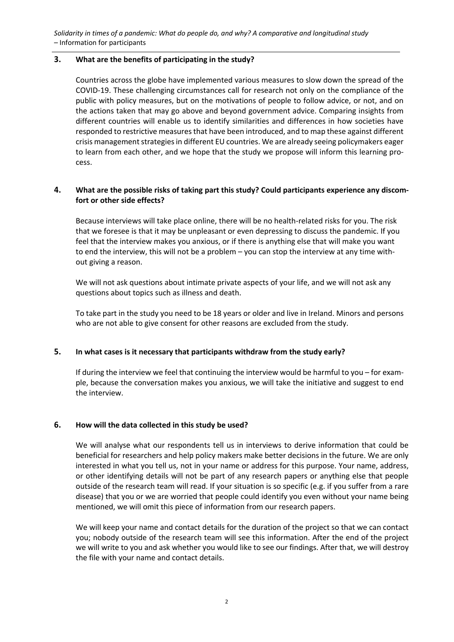*Solidarity in times of a pandemic: What do people do, and why? A comparative and longitudinal study –* Information for participants

#### **3. What are the benefits of participating in the study?**

Countries across the globe have implemented various measures to slow down the spread of the COVID-19. These challenging circumstances call for research not only on the compliance of the public with policy measures, but on the motivations of people to follow advice, or not, and on the actions taken that may go above and beyond government advice. Comparing insights from different countries will enable us to identify similarities and differences in how societies have responded to restrictive measures that have been introduced, and to map these against different crisis management strategies in different EU countries. We are already seeing policymakers eager to learn from each other, and we hope that the study we propose will inform this learning process.

# **4. What are the possible risks of taking part this study? Could participants experience any discomfort or other side effects?**

Because interviews will take place online, there will be no health-related risks for you. The risk that we foresee is that it may be unpleasant or even depressing to discuss the pandemic. If you feel that the interview makes you anxious, or if there is anything else that will make you want to end the interview, this will not be a problem – you can stop the interview at any time without giving a reason.

We will not ask questions about intimate private aspects of your life, and we will not ask any questions about topics such as illness and death.

To take part in the study you need to be 18 years or older and live in Ireland. Minors and persons who are not able to give consent for other reasons are excluded from the study.

#### **5. In what cases is it necessary that participants withdraw from the study early?**

If during the interview we feel that continuing the interview would be harmful to you – for example, because the conversation makes you anxious, we will take the initiative and suggest to end the interview.

#### **6. How will the data collected in this study be used?**

We will analyse what our respondents tell us in interviews to derive information that could be beneficial for researchers and help policy makers make better decisions in the future. We are only interested in what you tell us, not in your name or address for this purpose. Your name, address, or other identifying details will not be part of any research papers or anything else that people outside of the research team will read. If your situation is so specific (e.g. if you suffer from a rare disease) that you or we are worried that people could identify you even without your name being mentioned, we will omit this piece of information from our research papers.

We will keep your name and contact details for the duration of the project so that we can contact you; nobody outside of the research team will see this information. After the end of the project we will write to you and ask whether you would like to see our findings. After that, we will destroy the file with your name and contact details.